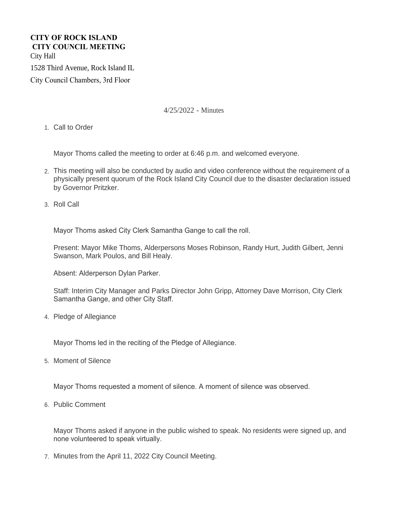## **CITY OF ROCK ISLAND CITY COUNCIL MEETING**  City Hall 1528 Third Avenue, Rock Island IL

City Council Chambers, 3rd Floor

4/25/2022 - Minutes

1. Call to Order

Mayor Thoms called the meeting to order at 6:46 p.m. and welcomed everyone.

- This meeting will also be conducted by audio and video conference without the requirement of a 2. physically present quorum of the Rock Island City Council due to the disaster declaration issued by Governor Pritzker.
- 3. Roll Call

Mayor Thoms asked City Clerk Samantha Gange to call the roll.

Present: Mayor Mike Thoms, Alderpersons Moses Robinson, Randy Hurt, Judith Gilbert, Jenni Swanson, Mark Poulos, and Bill Healy.

Absent: Alderperson Dylan Parker.

Staff: Interim City Manager and Parks Director John Gripp, Attorney Dave Morrison, City Clerk Samantha Gange, and other City Staff.

4. Pledge of Allegiance

Mayor Thoms led in the reciting of the Pledge of Allegiance.

5. Moment of Silence

Mayor Thoms requested a moment of silence. A moment of silence was observed.

6. Public Comment

Mayor Thoms asked if anyone in the public wished to speak. No residents were signed up, and none volunteered to speak virtually.

Minutes from the April 11, 2022 City Council Meeting. 7.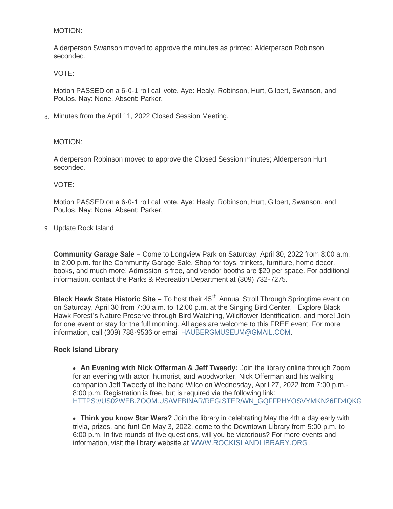#### MOTION:

Alderperson Swanson moved to approve the minutes as printed; Alderperson Robinson seconded.

VOTE:

Motion PASSED on a 6-0-1 roll call vote. Aye: Healy, Robinson, Hurt, Gilbert, Swanson, and Poulos. Nay: None. Absent: Parker.

Minutes from the April 11, 2022 Closed Session Meeting. 8.

MOTION:

Alderperson Robinson moved to approve the Closed Session minutes; Alderperson Hurt seconded.

VOTE:

Motion PASSED on a 6-0-1 roll call vote. Aye: Healy, Robinson, Hurt, Gilbert, Swanson, and Poulos. Nay: None. Absent: Parker.

Update Rock Island 9.

**Community Garage Sale –** Come to Longview Park on Saturday, April 30, 2022 from 8:00 a.m. to 2:00 p.m. for the Community Garage Sale. Shop for toys, trinkets, furniture, home decor, books, and much more! Admission is free, and vendor booths are \$20 per space. For additional information, contact the Parks & Recreation Department at (309) 732-7275.

**Black Hawk State Historic Site** – To host their 45<sup>th</sup> Annual Stroll Through Springtime event on on Saturday, April 30 from 7:00 a.m. to 12:00 p.m. at the Singing Bird Center. Explore Black Hawk Forest's Nature Preserve through Bird Watching, Wildflower Identification, and more! Join for one event or stay for the full morning. All ages are welcome to this FREE event. For more information, call (309) 788-9536 or email [HAUBERGMUSEUM@GMAIL.COM](mailto:haubergmuseum@gmail.com).

## **Rock Island Library**

• An Evening with Nick Offerman & Jeff Tweedy: Join the library online through Zoom for an evening with actor, humorist, and woodworker, Nick Offerman and his walking companion Jeff Tweedy of the band Wilco on Wednesday, April 27, 2022 from 7:00 p.m.- 8:00 p.m. Registration is free, but is required via the following link: [HTTPS://US02WEB.ZOOM.US/WEBINAR/REGISTER/WN\\_GQFFPHYOSVYMKN26FD4QKG](https://us02web.zoom.us/webinar/register/WN_gQffphYOSVyMkn26Fd4QKg)

**• Think you know Star Wars?** Join the library in celebrating May the 4th a day early with trivia, prizes, and fun! On May 3, 2022, come to the Downtown Library from 5:00 p.m. to 6:00 p.m. In five rounds of five questions, will you be victorious? For more events and information, visit the library website at [WWW.ROCKISLANDLIBRARY.ORG](http://www.rockislandlibrary.org/).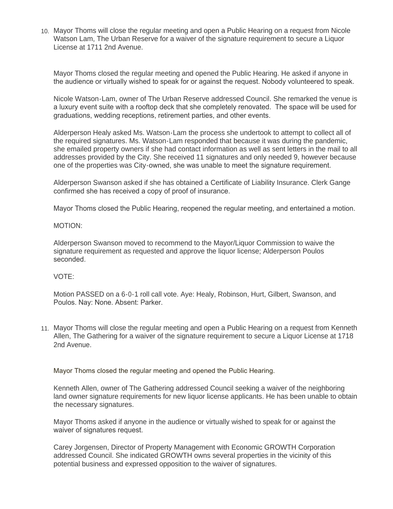Mayor Thoms will close the regular meeting and open a Public Hearing on a request from Nicole 10. Watson Lam, The Urban Reserve for a waiver of the signature requirement to secure a Liquor License at 1711 2nd Avenue.

Mayor Thoms closed the regular meeting and opened the Public Hearing. He asked if anyone in the audience or virtually wished to speak for or against the request. Nobody volunteered to speak.

Nicole Watson-Lam, owner of The Urban Reserve addressed Council. She remarked the venue is a luxury event suite with a rooftop deck that she completely renovated. The space will be used for graduations, wedding receptions, retirement parties, and other events.

Alderperson Healy asked Ms. Watson-Lam the process she undertook to attempt to collect all of the required signatures. Ms. Watson-Lam responded that because it was during the pandemic, she emailed property owners if she had contact information as well as sent letters in the mail to all addresses provided by the City. She received 11 signatures and only needed 9, however because one of the properties was City-owned, she was unable to meet the signature requirement.

Alderperson Swanson asked if she has obtained a Certificate of Liability Insurance. Clerk Gange confirmed she has received a copy of proof of insurance.

Mayor Thoms closed the Public Hearing, reopened the regular meeting, and entertained a motion.

#### MOTION:

Alderperson Swanson moved to recommend to the Mayor/Liquor Commission to waive the signature requirement as requested and approve the liquor license; Alderperson Poulos seconded.

## VOTE:

Motion PASSED on a 6-0-1 roll call vote. Aye: Healy, Robinson, Hurt, Gilbert, Swanson, and Poulos. Nay: None. Absent: Parker.

Mayor Thoms will close the regular meeting and open a Public Hearing on a request from Kenneth 11. Allen, The Gathering for a waiver of the signature requirement to secure a Liquor License at 1718 2nd Avenue.

Mayor Thoms closed the regular meeting and opened the Public Hearing.

Kenneth Allen, owner of The Gathering addressed Council seeking a waiver of the neighboring land owner signature requirements for new liquor license applicants. He has been unable to obtain the necessary signatures.

Mayor Thoms asked if anyone in the audience or virtually wished to speak for or against the waiver of signatures request.

Carey Jorgensen, Director of Property Management with Economic GROWTH Corporation addressed Council. She indicated GROWTH owns several properties in the vicinity of this potential business and expressed opposition to the waiver of signatures.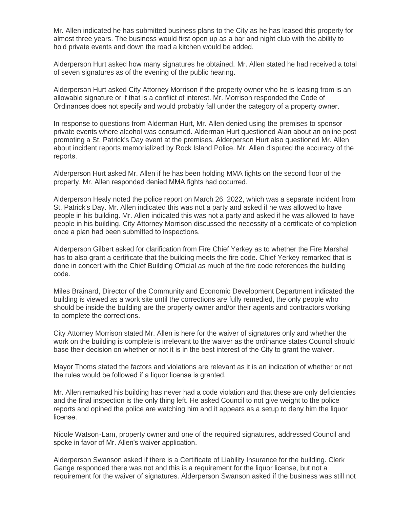Mr. Allen indicated he has submitted business plans to the City as he has leased this property for almost three years. The business would first open up as a bar and night club with the ability to hold private events and down the road a kitchen would be added.

Alderperson Hurt asked how many signatures he obtained. Mr. Allen stated he had received a total of seven signatures as of the evening of the public hearing.

Alderperson Hurt asked City Attorney Morrison if the property owner who he is leasing from is an allowable signature or if that is a conflict of interest. Mr. Morrison responded the Code of Ordinances does not specify and would probably fall under the category of a property owner.

In response to questions from Alderman Hurt, Mr. Allen denied using the premises to sponsor private events where alcohol was consumed. Alderman Hurt questioned Alan about an online post promoting a St. Patrick's Day event at the premises. Alderperson Hurt also questioned Mr. Allen about incident reports memorialized by Rock Island Police. Mr. Allen disputed the accuracy of the reports.

Alderperson Hurt asked Mr. Allen if he has been holding MMA fights on the second floor of the property. Mr. Allen responded denied MMA fights had occurred.

Alderperson Healy noted the police report on March 26, 2022, which was a separate incident from St. Patrick's Day. Mr. Allen indicated this was not a party and asked if he was allowed to have people in his building. Mr. Allen indicated this was not a party and asked if he was allowed to have people in his building. City Attorney Morrison discussed the necessity of a certificate of completion once a plan had been submitted to inspections.

Alderperson Gilbert asked for clarification from Fire Chief Yerkey as to whether the Fire Marshal has to also grant a certificate that the building meets the fire code. Chief Yerkey remarked that is done in concert with the Chief Building Official as much of the fire code references the building code.

Miles Brainard, Director of the Community and Economic Development Department indicated the building is viewed as a work site until the corrections are fully remedied, the only people who should be inside the building are the property owner and/or their agents and contractors working to complete the corrections.

City Attorney Morrison stated Mr. Allen is here for the waiver of signatures only and whether the work on the building is complete is irrelevant to the waiver as the ordinance states Council should base their decision on whether or not it is in the best interest of the City to grant the waiver.

Mayor Thoms stated the factors and violations are relevant as it is an indication of whether or not the rules would be followed if a liquor license is granted.

Mr. Allen remarked his building has never had a code violation and that these are only deficiencies and the final inspection is the only thing left. He asked Council to not give weight to the police reports and opined the police are watching him and it appears as a setup to deny him the liquor license.

Nicole Watson-Lam, property owner and one of the required signatures, addressed Council and spoke in favor of Mr. Allen's waiver application.

Alderperson Swanson asked if there is a Certificate of Liability Insurance for the building. Clerk Gange responded there was not and this is a requirement for the liquor license, but not a requirement for the waiver of signatures. Alderperson Swanson asked if the business was still not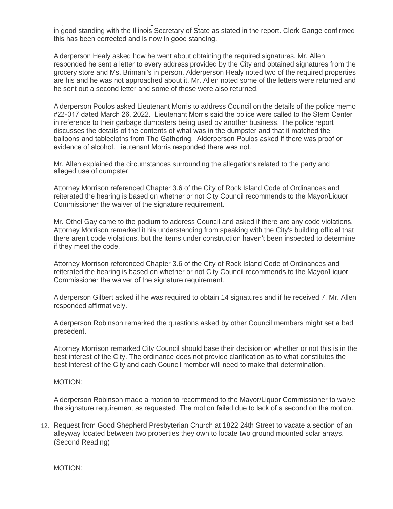requirement for the waiver of signatures. Alderperson Swanson asked if the business was still not in good standing with the Illinois Secretary of State as stated in the report. Clerk Gange confirmed this has been corrected and is now in good standing.

Alderperson Healy asked how he went about obtaining the required signatures. Mr. Allen responded he sent a letter to every address provided by the City and obtained signatures from the grocery store and Ms. Brimani's in person. Alderperson Healy noted two of the required properties are his and he was not approached about it. Mr. Allen noted some of the letters were returned and he sent out a second letter and some of those were also returned.

Alderperson Poulos asked Lieutenant Morris to address Council on the details of the police memo #22-017 dated March 26, 2022. Lieutenant Morris said the police were called to the Stern Center in reference to their garbage dumpsters being used by another business. The police report discusses the details of the contents of what was in the dumpster and that it matched the balloons and tablecloths from The Gathering. Alderperson Poulos asked if there was proof or evidence of alcohol. Lieutenant Morris responded there was not.

Mr. Allen explained the circumstances surrounding the allegations related to the party and alleged use of dumpster.

Attorney Morrison referenced Chapter 3.6 of the City of Rock Island Code of Ordinances and reiterated the hearing is based on whether or not City Council recommends to the Mayor/Liquor Commissioner the waiver of the signature requirement.

Mr. Othel Gay came to the podium to address Council and asked if there are any code violations. Attorney Morrison remarked it his understanding from speaking with the City's building official that there aren't code violations, but the items under construction haven't been inspected to determine if they meet the code.

Attorney Morrison referenced Chapter 3.6 of the City of Rock Island Code of Ordinances and reiterated the hearing is based on whether or not City Council recommends to the Mayor/Liquor Commissioner the waiver of the signature requirement.

Alderperson Gilbert asked if he was required to obtain 14 signatures and if he received 7. Mr. Allen responded affirmatively.

Alderperson Robinson remarked the questions asked by other Council members might set a bad precedent.

Attorney Morrison remarked City Council should base their decision on whether or not this is in the best interest of the City. The ordinance does not provide clarification as to what constitutes the best interest of the City and each Council member will need to make that determination.

#### MOTION:

Alderperson Robinson made a motion to recommend to the Mayor/Liquor Commissioner to waive the signature requirement as requested. The motion failed due to lack of a second on the motion.

12. Request from Good Shepherd Presbyterian Church at 1822 24th Street to vacate a section of an alleyway located between two properties they own to locate two ground mounted solar arrays. (Second Reading)

MOTION: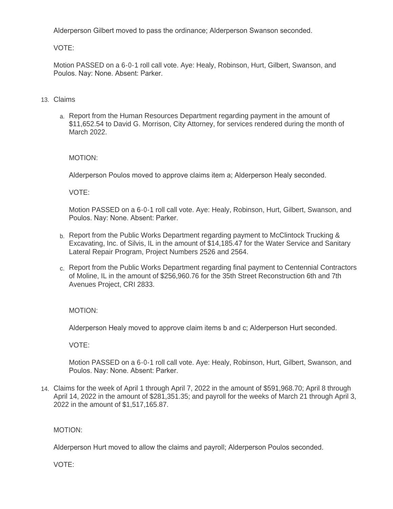Alderperson Gilbert moved to pass the ordinance; Alderperson Swanson seconded.

VOTE:

Motion PASSED on a 6-0-1 roll call vote. Aye: Healy, Robinson, Hurt, Gilbert, Swanson, and Poulos. Nay: None. Absent: Parker.

## Claims 13.

a. Report from the Human Resources Department regarding payment in the amount of \$11,652.54 to David G. Morrison, City Attorney, for services rendered during the month of March 2022.

## MOTION:

Alderperson Poulos moved to approve claims item a; Alderperson Healy seconded.

VOTE:

Motion PASSED on a 6-0-1 roll call vote. Aye: Healy, Robinson, Hurt, Gilbert, Swanson, and Poulos. Nay: None. Absent: Parker.

- b. Report from the Public Works Department regarding payment to McClintock Trucking & Excavating, Inc. of Silvis, IL in the amount of \$14,185.47 for the Water Service and Sanitary Lateral Repair Program, Project Numbers 2526 and 2564.
- c. Report from the Public Works Department regarding final payment to Centennial Contractors of Moline, IL in the amount of \$256,960.76 for the 35th Street Reconstruction 6th and 7th Avenues Project, CRI 2833.

MOTION:

Alderperson Healy moved to approve claim items b and c; Alderperson Hurt seconded.

VOTE:

Motion PASSED on a 6-0-1 roll call vote. Aye: Healy, Robinson, Hurt, Gilbert, Swanson, and Poulos. Nay: None. Absent: Parker.

Claims for the week of April 1 through April 7, 2022 in the amount of \$591,968.70; April 8 through 14. April 14, 2022 in the amount of \$281,351.35; and payroll for the weeks of March 21 through April 3, 2022 in the amount of \$1,517,165.87.

## MOTION:

Alderperson Hurt moved to allow the claims and payroll; Alderperson Poulos seconded.

VOTE: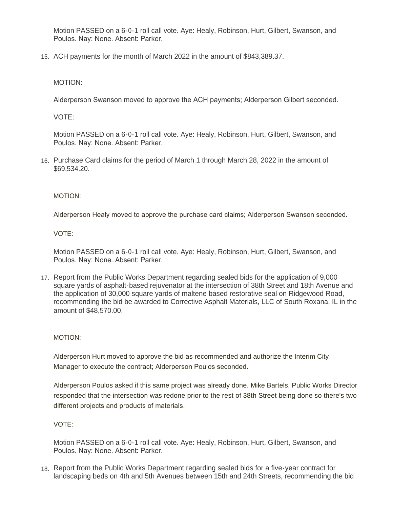Motion PASSED on a 6-0-1 roll call vote. Aye: Healy, Robinson, Hurt, Gilbert, Swanson, and Poulos. Nay: None. Absent: Parker.

15. ACH payments for the month of March 2022 in the amount of \$843,389.37.

MOTION:

Alderperson Swanson moved to approve the ACH payments; Alderperson Gilbert seconded.

VOTE:

Motion PASSED on a 6-0-1 roll call vote. Aye: Healy, Robinson, Hurt, Gilbert, Swanson, and Poulos. Nay: None. Absent: Parker.

16. Purchase Card claims for the period of March 1 through March 28, 2022 in the amount of \$69,534.20.

MOTION:

Alderperson Healy moved to approve the purchase card claims; Alderperson Swanson seconded.

VOTE:

Motion PASSED on a 6-0-1 roll call vote. Aye: Healy, Robinson, Hurt, Gilbert, Swanson, and Poulos. Nay: None. Absent: Parker.

17. Report from the Public Works Department regarding sealed bids for the application of 9,000 square yards of asphalt-based rejuvenator at the intersection of 38th Street and 18th Avenue and the application of 30,000 square yards of maltene based restorative seal on Ridgewood Road, recommending the bid be awarded to Corrective Asphalt Materials, LLC of South Roxana, IL in the amount of \$48,570.00.

## MOTION:

Alderperson Hurt moved to approve the bid as recommended and authorize the Interim City Manager to execute the contract; Alderperson Poulos seconded.

Alderperson Poulos asked if this same project was already done. Mike Bartels, Public Works Director responded that the intersection was redone prior to the rest of 38th Street being done so there's two different projects and products of materials.

VOTE:

Motion PASSED on a 6-0-1 roll call vote. Aye: Healy, Robinson, Hurt, Gilbert, Swanson, and Poulos. Nay: None. Absent: Parker.

18. Report from the Public Works Department regarding sealed bids for a five-year contract for landscaping beds on 4th and 5th Avenues between 15th and 24th Streets, recommending the bid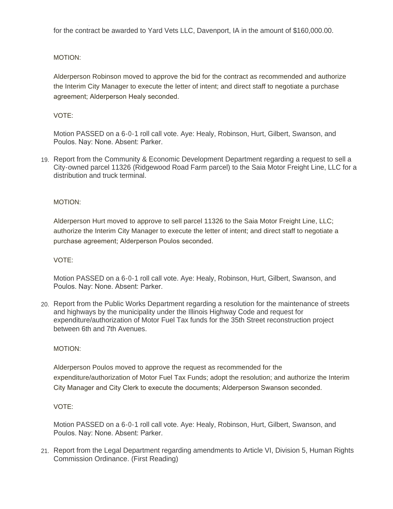landscaping beds on 4th and 5th Avenues between 15th and 24th Streets, recommending the bid for the contract be awarded to Yard Vets LLC, Davenport, IA in the amount of \$160,000.00.

## MOTION:

Alderperson Robinson moved to approve the bid for the contract as recommended and authorize the Interim City Manager to execute the letter of intent; and direct staff to negotiate a purchase agreement; Alderperson Healy seconded.

## VOTE:

Motion PASSED on a 6-0-1 roll call vote. Aye: Healy, Robinson, Hurt, Gilbert, Swanson, and Poulos. Nay: None. Absent: Parker.

19. Report from the Community & Economic Development Department regarding a request to sell a City-owned parcel 11326 (Ridgewood Road Farm parcel) to the Saia Motor Freight Line, LLC for a distribution and truck terminal.

## MOTION:

Alderperson Hurt moved to approve to sell parcel 11326 to the Saia Motor Freight Line, LLC; authorize the Interim City Manager to execute the letter of intent; and direct staff to negotiate a purchase agreement; Alderperson Poulos seconded.

## VOTE:

Motion PASSED on a 6-0-1 roll call vote. Aye: Healy, Robinson, Hurt, Gilbert, Swanson, and Poulos. Nay: None. Absent: Parker.

20. Report from the Public Works Department regarding a resolution for the maintenance of streets and highways by the municipality under the Illinois Highway Code and request for expenditure/authorization of Motor Fuel Tax funds for the 35th Street reconstruction project between 6th and 7th Avenues.

## MOTION:

Alderperson Poulos moved to approve the request as recommended for the expenditure/authorization of Motor Fuel Tax Funds; adopt the resolution; and authorize the Interim City Manager and City Clerk to execute the documents; Alderperson Swanson seconded.

## VOTE:

Motion PASSED on a 6-0-1 roll call vote. Aye: Healy, Robinson, Hurt, Gilbert, Swanson, and Poulos. Nay: None. Absent: Parker.

21. Report from the Legal Department regarding amendments to Article VI, Division 5, Human Rights Commission Ordinance. (First Reading)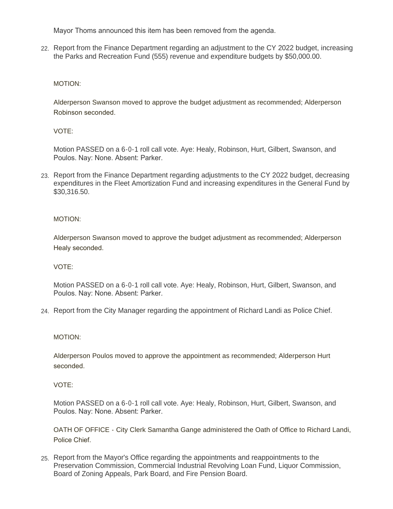Mayor Thoms announced this item has been removed from the agenda.

22. Report from the Finance Department regarding an adjustment to the CY 2022 budget, increasing the Parks and Recreation Fund (555) revenue and expenditure budgets by \$50,000.00.

## MOTION:

Alderperson Swanson moved to approve the budget adjustment as recommended; Alderperson Robinson seconded.

VOTE:

Motion PASSED on a 6-0-1 roll call vote. Aye: Healy, Robinson, Hurt, Gilbert, Swanson, and Poulos. Nay: None. Absent: Parker.

23. Report from the Finance Department regarding adjustments to the CY 2022 budget, decreasing expenditures in the Fleet Amortization Fund and increasing expenditures in the General Fund by \$30,316.50.

MOTION:

Alderperson Swanson moved to approve the budget adjustment as recommended; Alderperson Healy seconded.

VOTE:

Motion PASSED on a 6-0-1 roll call vote. Aye: Healy, Robinson, Hurt, Gilbert, Swanson, and Poulos. Nay: None. Absent: Parker.

Report from the City Manager regarding the appointment of Richard Landi as Police Chief. 24.

#### MOTION:

Alderperson Poulos moved to approve the appointment as recommended; Alderperson Hurt seconded.

#### VOTE:

Motion PASSED on a 6-0-1 roll call vote. Aye: Healy, Robinson, Hurt, Gilbert, Swanson, and Poulos. Nay: None. Absent: Parker.

OATH OF OFFICE - City Clerk Samantha Gange administered the Oath of Office to Richard Landi, Police Chief.

Report from the Mayor's Office regarding the appointments and reappointments to the 25. Preservation Commission, Commercial Industrial Revolving Loan Fund, Liquor Commission, Board of Zoning Appeals, Park Board, and Fire Pension Board.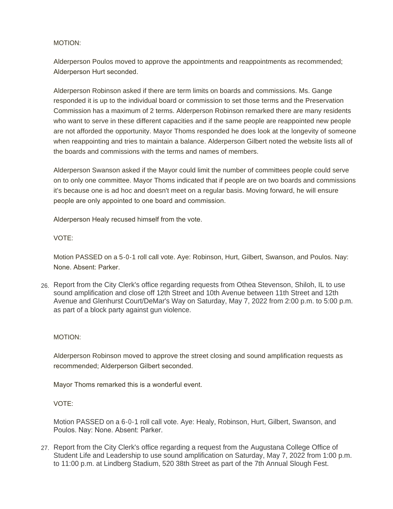#### MOTION:

Alderperson Poulos moved to approve the appointments and reappointments as recommended; Alderperson Hurt seconded.

Alderperson Robinson asked if there are term limits on boards and commissions. Ms. Gange responded it is up to the individual board or commission to set those terms and the Preservation Commission has a maximum of 2 terms. Alderperson Robinson remarked there are many residents who want to serve in these different capacities and if the same people are reappointed new people are not afforded the opportunity. Mayor Thoms responded he does look at the longevity of someone when reappointing and tries to maintain a balance. Alderperson Gilbert noted the website lists all of the boards and commissions with the terms and names of members.

Alderperson Swanson asked if the Mayor could limit the number of committees people could serve on to only one committee. Mayor Thoms indicated that if people are on two boards and commissions it's because one is ad hoc and doesn't meet on a regular basis. Moving forward, he will ensure people are only appointed to one board and commission.

Alderperson Healy recused himself from the vote.

#### VOTE:

Motion PASSED on a 5-0-1 roll call vote. Aye: Robinson, Hurt, Gilbert, Swanson, and Poulos. Nay: None. Absent: Parker.

Report from the City Clerk's office regarding requests from Othea Stevenson, Shiloh, IL to use 26. sound amplification and close off 12th Street and 10th Avenue between 11th Street and 12th Avenue and Glenhurst Court/DeMar's Way on Saturday, May 7, 2022 from 2:00 p.m. to 5:00 p.m. as part of a block party against gun violence.

## MOTION:

Alderperson Robinson moved to approve the street closing and sound amplification requests as recommended; Alderperson Gilbert seconded.

Mayor Thoms remarked this is a wonderful event.

## VOTE:

Motion PASSED on a 6-0-1 roll call vote. Aye: Healy, Robinson, Hurt, Gilbert, Swanson, and Poulos. Nay: None. Absent: Parker.

27. Report from the City Clerk's office regarding a request from the Augustana College Office of Student Life and Leadership to use sound amplification on Saturday, May 7, 2022 from 1:00 p.m. to 11:00 p.m. at Lindberg Stadium, 520 38th Street as part of the 7th Annual Slough Fest.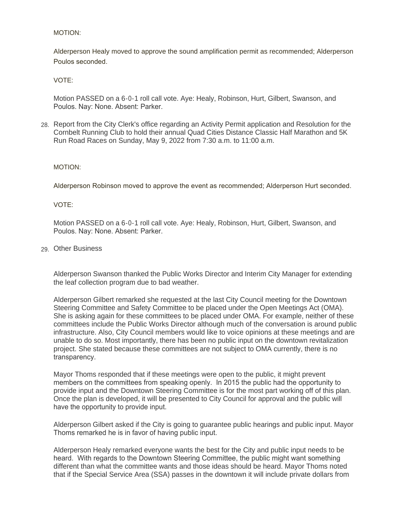#### MOTION:

Alderperson Healy moved to approve the sound amplification permit as recommended; Alderperson Poulos seconded.

VOTE:

Motion PASSED on a 6-0-1 roll call vote. Aye: Healy, Robinson, Hurt, Gilbert, Swanson, and Poulos. Nay: None. Absent: Parker.

Report from the City Clerk's office regarding an Activity Permit application and Resolution for the 28. Cornbelt Running Club to hold their annual Quad Cities Distance Classic Half Marathon and 5K Run Road Races on Sunday, May 9, 2022 from 7:30 a.m. to 11:00 a.m.

#### MOTION:

Alderperson Robinson moved to approve the event as recommended; Alderperson Hurt seconded.

VOTE:

Motion PASSED on a 6-0-1 roll call vote. Aye: Healy, Robinson, Hurt, Gilbert, Swanson, and Poulos. Nay: None. Absent: Parker.

Other Business 29.

Alderperson Swanson thanked the Public Works Director and Interim City Manager for extending the leaf collection program due to bad weather.

Alderperson Gilbert remarked she requested at the last City Council meeting for the Downtown Steering Committee and Safety Committee to be placed under the Open Meetings Act (OMA). She is asking again for these committees to be placed under OMA. For example, neither of these committees include the Public Works Director although much of the conversation is around public infrastructure. Also, City Council members would like to voice opinions at these meetings and are unable to do so. Most importantly, there has been no public input on the downtown revitalization project. She stated because these committees are not subject to OMA currently, there is no transparency.

Mayor Thoms responded that if these meetings were open to the public, it might prevent members on the committees from speaking openly. In 2015 the public had the opportunity to provide input and the Downtown Steering Committee is for the most part working off of this plan. Once the plan is developed, it will be presented to City Council for approval and the public will have the opportunity to provide input.

Alderperson Gilbert asked if the City is going to guarantee public hearings and public input. Mayor Thoms remarked he is in favor of having public input.

Alderperson Healy remarked everyone wants the best for the City and public input needs to be heard. With regards to the Downtown Steering Committee, the public might want something different than what the committee wants and those ideas should be heard. Mayor Thoms noted that if the Special Service Area (SSA) passes in the downtown it will include private dollars from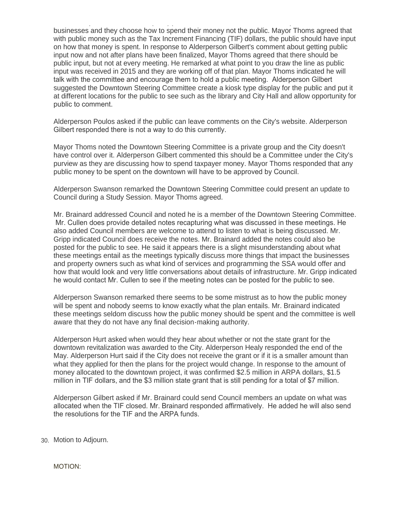that if the Special Service Area (SSA) passes in the downtown it will include private dollars from businesses and they choose how to spend their money not the public. Mayor Thoms agreed that with public money such as the Tax Increment Financing (TIF) dollars, the public should have input on how that money is spent. In response to Alderperson Gilbert's comment about getting public input now and not after plans have been finalized, Mayor Thoms agreed that there should be public input, but not at every meeting. He remarked at what point to you draw the line as public input was received in 2015 and they are working off of that plan. Mayor Thoms indicated he will talk with the committee and encourage them to hold a public meeting. Alderperson Gilbert suggested the Downtown Steering Committee create a kiosk type display for the public and put it at different locations for the public to see such as the library and City Hall and allow opportunity for public to comment.

Alderperson Poulos asked if the public can leave comments on the City's website. Alderperson Gilbert responded there is not a way to do this currently.

Mayor Thoms noted the Downtown Steering Committee is a private group and the City doesn't have control over it. Alderperson Gilbert commented this should be a Committee under the City's purview as they are discussing how to spend taxpayer money. Mayor Thoms responded that any public money to be spent on the downtown will have to be approved by Council.

Alderperson Swanson remarked the Downtown Steering Committee could present an update to Council during a Study Session. Mayor Thoms agreed.

Mr. Brainard addressed Council and noted he is a member of the Downtown Steering Committee. Mr. Cullen does provide detailed notes recapturing what was discussed in these meetings. He also added Council members are welcome to attend to listen to what is being discussed. Mr. Gripp indicated Council does receive the notes. Mr. Brainard added the notes could also be posted for the public to see. He said it appears there is a slight misunderstanding about what these meetings entail as the meetings typically discuss more things that impact the businesses and property owners such as what kind of services and programming the SSA would offer and how that would look and very little conversations about details of infrastructure. Mr. Gripp indicated he would contact Mr. Cullen to see if the meeting notes can be posted for the public to see.

Alderperson Swanson remarked there seems to be some mistrust as to how the public money will be spent and nobody seems to know exactly what the plan entails. Mr. Brainard indicated these meetings seldom discuss how the public money should be spent and the committee is well aware that they do not have any final decision-making authority.

Alderperson Hurt asked when would they hear about whether or not the state grant for the downtown revitalization was awarded to the City. Alderperson Healy responded the end of the May. Alderperson Hurt said if the City does not receive the grant or if it is a smaller amount than what they applied for then the plans for the project would change. In response to the amount of money allocated to the downtown project, it was confirmed \$2.5 million in ARPA dollars, \$1.5 million in TIF dollars, and the \$3 million state grant that is still pending for a total of \$7 million.

Alderperson Gilbert asked if Mr. Brainard could send Council members an update on what was allocated when the TIF closed. Mr. Brainard responded affirmatively. He added he will also send the resolutions for the TIF and the ARPA funds.

Motion to Adjourn. 30.

MOTION: